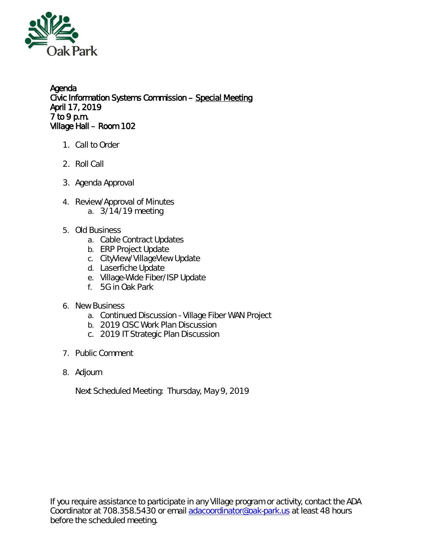

Agenda Civic Information Systems Commission – Special Meeting April 17, 2019 7 to 9 p.m. Village Hall – Room 102

- 1. Call to Order
- 2. Roll Call
- 3. Agenda Approval
- 4. Review/Approval of Minutes a. 3/14/19 meeting
- 5. Old Business
	- a. Cable Contract Updates
	- b. ERP Project Update
	- c. CityView/VillageView Update
	- d. Laserfiche Update
	- e. Village-Wide Fiber/ISP Update
	- f. 5G in Oak Park
- 6. New Business
	- a. Continued Discussion Village Fiber WAN Project
	- b. 2019 CISC Work Plan Discussion
	- c. 2019 IT Strategic Plan Discussion
- 7. Public Comment
- 8. Adjourn

Next Scheduled Meeting: Thursday, May 9, 2019